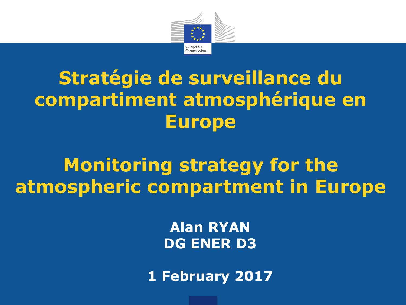

## **Stratégie de surveillance du compartiment atmosphérique en Europe**

### **Monitoring strategy for the atmospheric compartment in Europe**

**Alan RYAN DG ENER D3**

**1 February 2017**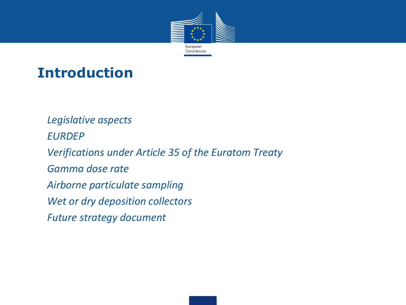

#### **Introduction**

*1. Legislative aspects 2. EURDEP 3. Verifications under Article 35 of the Euratom Treaty 4. Gamma dose rate 5. Airborne particulate sampling 6. Wet or dry deposition collectors 7. Future strategy document*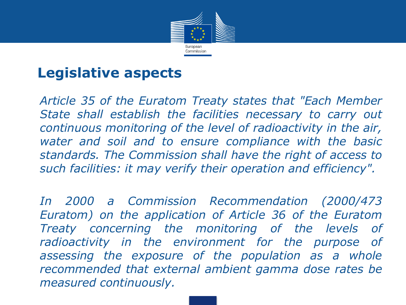

#### **Legislative aspects**

• *Article 35 of the Euratom Treaty states that "Each Member State shall establish the facilities necessary to carry out continuous monitoring of the level of radioactivity in the air, water and soil and to ensure compliance with the basic standards. The Commission shall have the right of access to such facilities: it may verify their operation and efficiency".*

• *In 2000 a Commission Recommendation (2000/473 Euratom) on the application of Article 36 of the Euratom Treaty concerning the monitoring of the levels of radioactivity in the environment for the purpose of assessing the exposure of the population as a whole recommended that external ambient gamma dose rates be measured continuously.*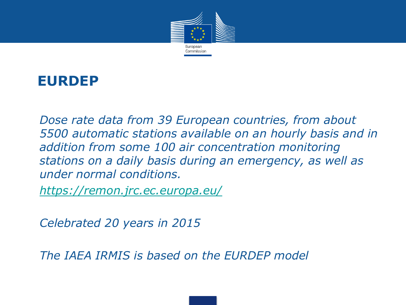

#### **EURDEP**

• *Dose rate data from 39 European countries, from about 5500 automatic stations available on an hourly basis and in addition from some 100 air concentration monitoring stations on a daily basis during an emergency, as well as under normal conditions.*

• *<https://remon.jrc.ec.europa.eu/>*

• *Celebrated 20 years in 2015*

• *The IAEA IRMIS is based on the EURDEP model*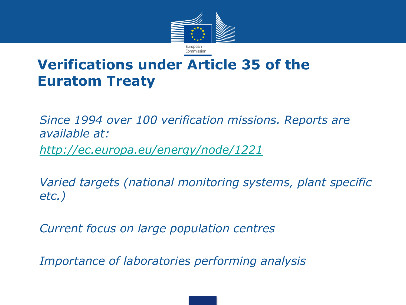

#### **Verifications under Article 35 of the Euratom Treaty**

• *Since 1994 over 100 verification missions. Reports are available at:* • *<http://ec.europa.eu/energy/node/1221>*

• *Varied targets (national monitoring systems, plant specific etc.)*

• *Current focus on large population centres*

• *Importance of laboratories performing analysis*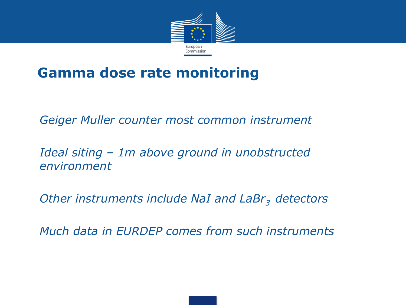

#### **Gamma dose rate monitoring**

• *Geiger Muller counter most common instrument*

• *Ideal siting – 1m above ground in unobstructed environment*

• *Other instruments include NaI and LaBr3 detectors*

• *Much data in EURDEP comes from such instruments*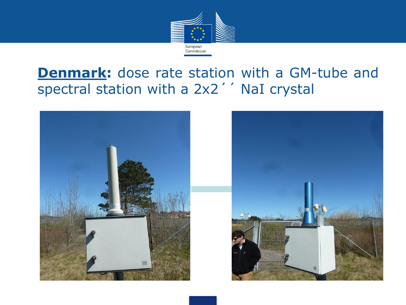

#### **Denmark:** dose rate station with a GM-tube and spectral station with a 2x2'' NaI crystal



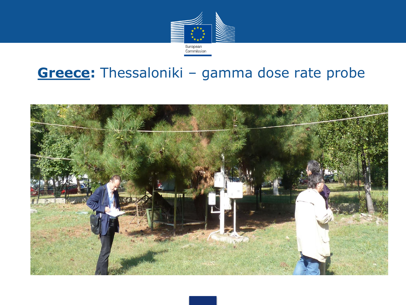

#### **Greece:** Thessaloniki – gamma dose rate probe

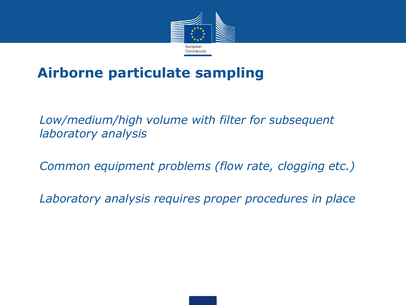

#### **Airborne particulate sampling**

• *Low/medium/high volume with filter for subsequent laboratory analysis*

• *Common equipment problems (flow rate, clogging etc.)*

• *Laboratory analysis requires proper procedures in place*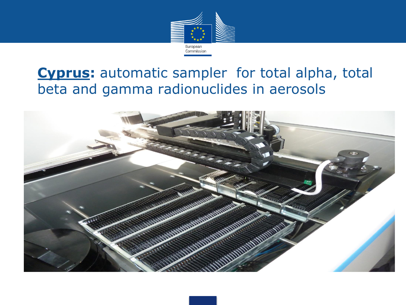

#### **Cyprus:** automatic sampler for total alpha, total beta and gamma radionuclides in aerosols

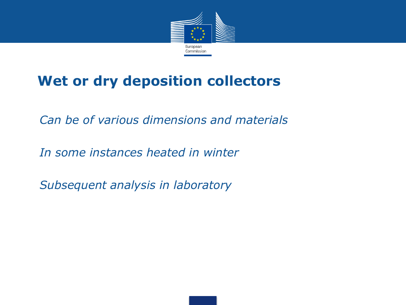

#### **Wet or dry deposition collectors**

• *Can be of various dimensions and materials*

• *In some instances heated in winter*

• *Subsequent analysis in laboratory*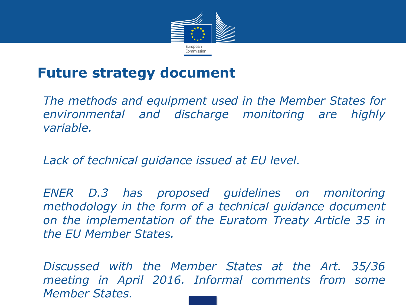

#### **Future strategy document**

• *The methods and equipment used in the Member States for environmental and discharge monitoring are highly variable.*

• *Lack of technical guidance issued at EU level.*

• *ENER D.3 has proposed guidelines on monitoring methodology in the form of a technical guidance document on the implementation of the Euratom Treaty Article 35 in the EU Member States.*

• *Discussed with the Member States at the Art. 35/36 meeting in April 2016. Informal comments from some Member States.*